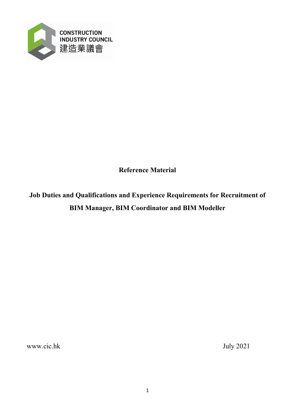

**Reference Material**

**Job Duties and Qualifications and Experience Requirements for Recruitment of BIM Manager, BIM Coordinator and BIM Modeller**

[www.cic.hk](http://www.cic.hk/) July 2021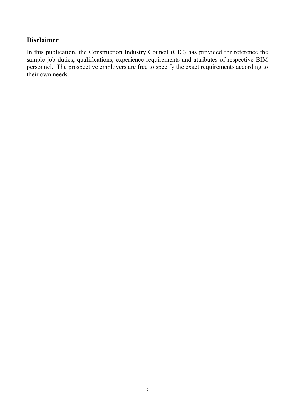# **Disclaimer**

In this publication, the Construction Industry Council (CIC) has provided for reference the sample job duties, qualifications, experience requirements and attributes of respective BIM personnel. The prospective employers are free to specify the exact requirements according to their own needs.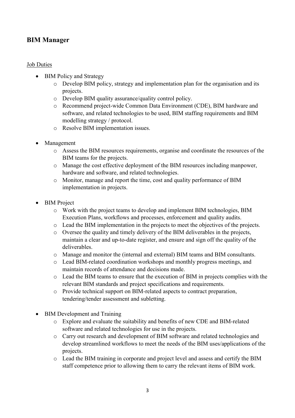# **BIM Manager**

## Job Duties

- BIM Policy and Strategy
	- o Develop BIM policy, strategy and implementation plan for the organisation and its projects.
	- o Develop BIM quality assurance/quality control policy.
	- o Recommend project-wide Common Data Environment (CDE), BIM hardware and software, and related technologies to be used, BIM staffing requirements and BIM modelling strategy / protocol.
	- o Resolve BIM implementation issues.
- Management
	- o Assess the BIM resources requirements, organise and coordinate the resources of the BIM teams for the projects.
	- o Manage the cost effective deployment of the BIM resources including manpower, hardware and software, and related technologies.
	- o Monitor, manage and report the time, cost and quality performance of BIM implementation in projects.
- **BIM** Project
	- o Work with the project teams to develop and implement BIM technologies, BIM Execution Plans, workflows and processes, enforcement and quality audits.
	- o Lead the BIM implementation in the projects to meet the objectives of the projects.
	- o Oversee the quality and timely delivery of the BIM deliverables in the projects, maintain a clear and up-to-date register, and ensure and sign off the quality of the deliverables.
	- o Manage and monitor the (internal and external) BIM teams and BIM consultants.
	- o Lead BIM-related coordination workshops and monthly progress meetings, and maintain records of attendance and decisions made.
	- o Lead the BIM teams to ensure that the execution of BIM in projects complies with the relevant BIM standards and project specifications and requirements.
	- o Provide technical support on BIM-related aspects to contract preparation, tendering/tender assessment and subletting.
- **BIM Development and Training** 
	- o Explore and evaluate the suitability and benefits of new CDE and BIM-related software and related technologies for use in the projects.
	- o Carry out research and development of BIM software and related technologies and develop streamlined workflows to meet the needs of the BIM uses/applications of the projects.
	- o Lead the BIM training in corporate and project level and assess and certify the BIM staff competence prior to allowing them to carry the relevant items of BIM work.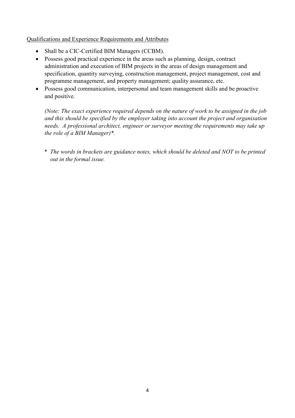#### Qualifications and Experience Requirements and Attributes

- Shall be a CIC-Certified BIM Managers (CCBM).
- Possess good practical experience in the areas such as planning, design, contract administration and execution of BIM projects in the areas of design management and specification, quantity surveying, construction management, project management, cost and programme management, and property management; quality assurance, etc.
- Possess good communication, interpersonal and team management skills and be proactive and positive.

*(Note: The exact experience required depends on the nature of work to be assigned in the job and this should be specified by the employer taking into account the project and organisation needs. A professional architect, engineer or surveyor meeting the requirements may take up the role of a BIM Manager)\*.*

\* *The words in brackets are guidance notes, which should be deleted and NOT to be printed out in the formal issue.*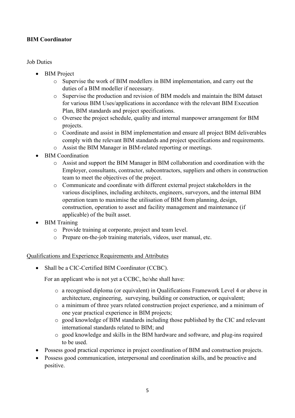## **BIM Coordinator**

### Job Duties

- BIM Project
	- o Supervise the work of BIM modellers in BIM implementation, and carry out the duties of a BIM modeller if necessary.
	- o Supervise the production and revision of BIM models and maintain the BIM dataset for various BIM Uses/applications in accordance with the relevant BIM Execution Plan, BIM standards and project specifications.
	- o Oversee the project schedule, quality and internal manpower arrangement for BIM projects.
	- o Coordinate and assist in BIM implementation and ensure all project BIM deliverables comply with the relevant BIM standards and project specifications and requirements.
	- o Assist the BIM Manager in BIM-related reporting or meetings.
- BIM Coordination
	- o Assist and support the BIM Manager in BIM collaboration and coordination with the Employer, consultants, contractor, subcontractors, suppliers and others in construction team to meet the objectives of the project.
	- o Communicate and coordinate with different external project stakeholders in the various disciplines, including architects, engineers, surveyors, and the internal BIM operation team to maximise the utilisation of BIM from planning, design, construction, operation to asset and facility management and maintenance (if applicable) of the built asset.
- BIM Training
	- o Provide training at corporate, project and team level.
	- o Prepare on-the-job training materials, videos, user manual, etc.

#### Qualifications and Experience Requirements and Attributes

• Shall be a CIC-Certified BIM Coordinator (CCBC).

For an applicant who is not yet a CCBC, he/she shall have:

- o a recognised diploma (or equivalent) in Qualifications Framework Level 4 or above in architecture, engineering, surveying, building or construction, or equivalent;
- o a minimum of three years related construction project experience, and a minimum of one year practical experience in BIM projects;
- o good knowledge of BIM standards including those published by the CIC and relevant international standards related to BIM; and
- o good knowledge and skills in the BIM hardware and software, and plug-ins required to be used.
- Possess good practical experience in project coordination of BIM and construction projects.
- Possess good communication, interpersonal and coordination skills, and be proactive and positive.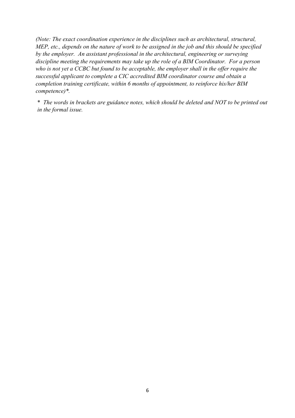*(Note: The exact coordination experience in the disciplines such as architectural, structural, MEP, etc., depends on the nature of work to be assigned in the job and this should be specified by the employer. An assistant professional in the architectural, engineering or surveying discipline meeting the requirements may take up the role of a BIM Coordinator. For a person who is not yet a CCBC but found to be acceptable, the employer shall in the offer require the successful applicant to complete a CIC accredited BIM coordinator course and obtain a completion training certificate, within 6 months of appointment, to reinforce his/her BIM competence)\*.*

\* *The words in brackets are guidance notes, which should be deleted and NOT to be printed out in the formal issue.*